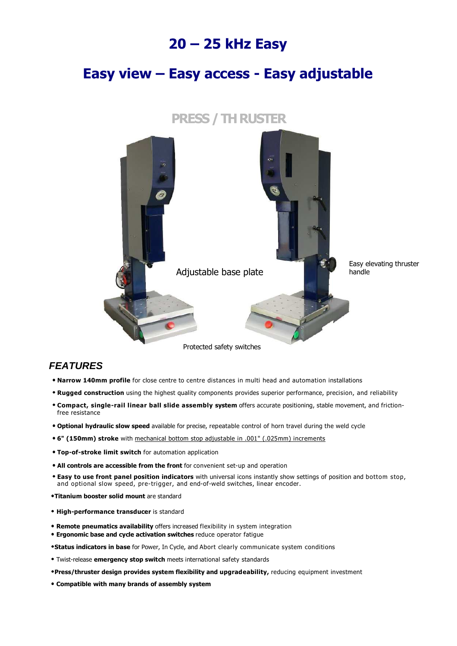## 20 – 25 kHz Easy

## Easy view – Easy access - Easy adjustable



### **FEATURES**

- Narrow 140mm profile for close centre to centre distances in multi head and automation installations
- Rugged construction using the highest quality components provides superior performance, precision, and reliability
- Compact, single-rail linear ball slide assembly system offers accurate positioning, stable movement, and frictionfree resistance
- Optional hydraulic slow speed available for precise, repeatable control of horn travel during the weld cycle
- 6" (150mm) stroke with mechanical bottom stop adjustable in .001" (.025mm) increments
- Top-of-stroke limit switch for automation application
- All controls are accessible from the front for convenient set-up and operation
- **Easy to use front panel position indicators** with universal icons instantly show settings of position and bottom stop, and optional slow speed, pre-trigger, and end-of-weld switches, linear encoder.
- •Titanium booster solid mount are standard
- High-performance transducer is standard
- Remote pneumatics availability offers increased flexibility in system integration
- Ergonomic base and cycle activation switches reduce operator fatigue
- **•Status indicators in base** for Power, In Cycle, and Abort clearly communicate system conditions
- Twist-release emergency stop switch meets international safety standards
- •Press/thruster design provides system flexibility and upgradeability, reducing equipment investment
- Compatible with many brands of assembly system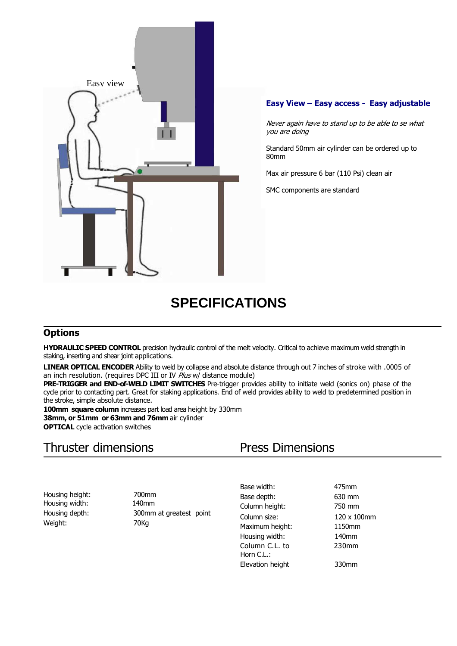

#### Easy View – Easy access - Easy adjustable

Never again have to stand up to be able to se what you are doing

Standard 50mm air cylinder can be ordered up to 80mm

Max air pressure 6 bar (110 Psi) clean air

SMC components are standard

# **SPECIFICATIONS**

### **Options**

HYDRAULIC SPEED CONTROL precision hydraulic control of the melt velocity. Critical to achieve maximum weld strength in staking, inserting and shear joint applications.

LINEAR OPTICAL ENCODER Ability to weld by collapse and absolute distance through out 7 inches of stroke with .0005 of an inch resolution. (requires DPC III or IV  $\hat{Pl}$ us w/ distance module)

PRE-TRIGGER and END-of-WELD LIMIT SWITCHES Pre-trigger provides ability to initiate weld (sonics on) phase of the cycle prior to contacting part. Great for staking applications. End of weld provides ability to weld to predetermined position in the stroke, simple absolute distance.

100mm square column increases part load area height by 330mm 38mm, or 51mm or 63mm and 76mm air cylinder **OPTICAL** cycle activation switches

## Thruster dimensions Press Dimensions

Housing height: 700mm<br>Housing width: 140mm Housing width: Weight: 70Kg

Housing depth: 300mm at greatest point

Base width: 475mm Base depth: 630 mm Column height: 750 mm Column size: 120 x 100mm Maximum height: 1150mm Housing width: 140mm Column C.L. to 230mm Horn C.L.: Elevation height 330mm